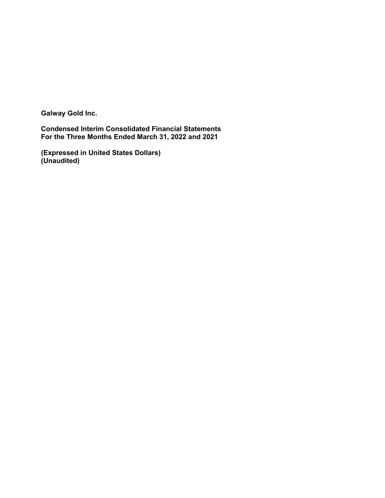**Galway Gold Inc.**

**Condensed Interim Consolidated Financial Statements For the Three Months Ended March 31, 2022 and 2021**

**(Expressed in United States Dollars) (Unaudited)**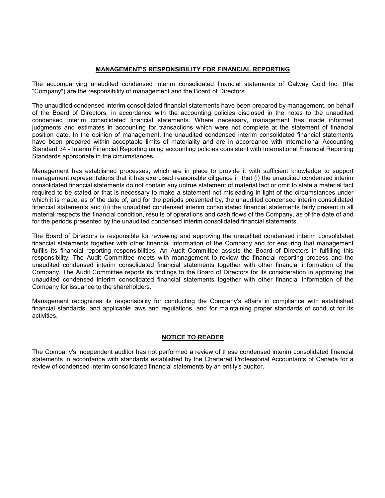## **MANAGEMENT'S RESPONSIBILITY FOR FINANCIAL REPORTING**

The accompanying unaudited condensed interim consolidated financial statements of Galway Gold Inc. (the "Company") are the responsibility of management and the Board of Directors.

The unaudited condensed interim consolidated financial statements have been prepared by management, on behalf of the Board of Directors, in accordance with the accounting policies disclosed in the notes to the unaudited condensed interim consolidated financial statements. Where necessary, management has made informed judgments and estimates in accounting for transactions which were not complete at the statement of financial position date. In the opinion of management, the unaudited condensed interim consolidated financial statements have been prepared within acceptable limits of materiality and are in accordance with International Accounting Standard 34 - Interim Financial Reporting using accounting policies consistent with International Financial Reporting Standards appropriate in the circumstances.

Management has established processes, which are in place to provide it with sufficient knowledge to support management representations that it has exercised reasonable diligence in that (i) the unaudited condensed interim consolidated financial statements do not contain any untrue statement of material fact or omit to state a material fact required to be stated or that is necessary to make a statement not misleading in light of the circumstances under which it is made, as of the date of, and for the periods presented by, the unaudited condensed interim consolidated financial statements and (ii) the unaudited condensed interim consolidated financial statements fairly present in all material respects the financial condition, results of operations and cash flows of the Company, as of the date of and for the periods presented by the unaudited condensed interim consolidated financial statements.

The Board of Directors is responsible for reviewing and approving the unaudited condensed interim consolidated financial statements together with other financial information of the Company and for ensuring that management fulfills its financial reporting responsibilities. An Audit Committee assists the Board of Directors in fulfilling this responsibility. The Audit Committee meets with management to review the financial reporting process and the unaudited condensed interim consolidated financial statements together with other financial information of the Company. The Audit Committee reports its findings to the Board of Directors for its consideration in approving the unaudited condensed interim consolidated financial statements together with other financial information of the Company for issuance to the shareholders.

Management recognizes its responsibility for conducting the Company's affairs in compliance with established financial standards, and applicable laws and regulations, and for maintaining proper standards of conduct for its activities.

### **NOTICE TO READER**

The Company's independent auditor has not performed a review of these condensed interim consolidated financial statements in accordance with standards established by the Chartered Professional Accountants of Canada for a review of condensed interim consolidated financial statements by an entity's auditor.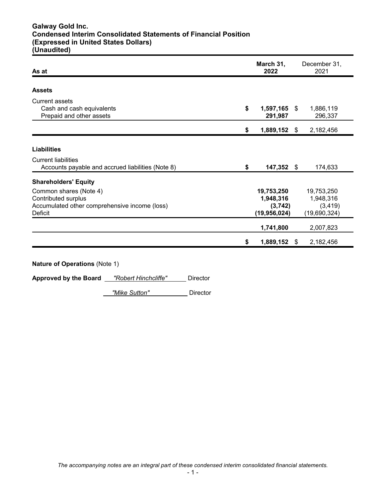# **Galway Gold Inc. Condensed Interim Consolidated Statements of Financial Position (Expressed in United States Dollars) (Unaudited)**

| As at                                                                                                     | March 31,<br>2022 |                                                      |     | December 31,<br>2021                                |
|-----------------------------------------------------------------------------------------------------------|-------------------|------------------------------------------------------|-----|-----------------------------------------------------|
| <b>Assets</b>                                                                                             |                   |                                                      |     |                                                     |
| <b>Current assets</b><br>Cash and cash equivalents<br>Prepaid and other assets                            | \$                | 1,597,165<br>291,987                                 | -SS | 1,886,119<br>296,337                                |
|                                                                                                           | \$                | 1,889,152                                            | \$  | 2,182,456                                           |
| <b>Liabilities</b>                                                                                        |                   |                                                      |     |                                                     |
| <b>Current liabilities</b><br>Accounts payable and accrued liabilities (Note 8)                           | \$                | 147,352                                              | \$. | 174,633                                             |
| <b>Shareholders' Equity</b>                                                                               |                   |                                                      |     |                                                     |
| Common shares (Note 4)<br>Contributed surplus<br>Accumulated other comprehensive income (loss)<br>Deficit |                   | 19,753,250<br>1,948,316<br>(3,742)<br>(19, 956, 024) |     | 19,753,250<br>1,948,316<br>(3, 419)<br>(19,690,324) |
|                                                                                                           |                   | 1,741,800                                            |     | 2,007,823                                           |
|                                                                                                           | \$                | 1,889,152                                            | \$. | 2,182,456                                           |

**Nature of Operations** (Note 1)

**Approved by the Board** *"Robert Hinchcliffe"* Director

*"Mike Sutton"* Director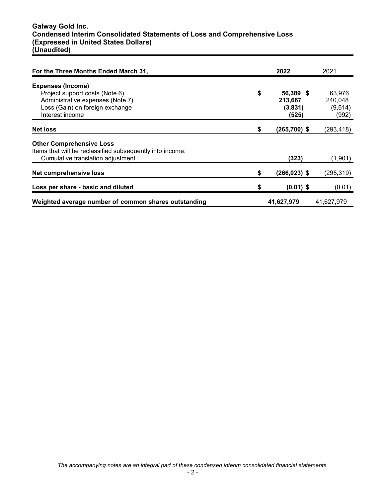# **Galway Gold Inc. Condensed Interim Consolidated Statements of Loss and Comprehensive Loss (Expressed in United States Dollars) (Unaudited)**

| For the Three Months Ended March 31,                      |    | 2022            | 2021       |
|-----------------------------------------------------------|----|-----------------|------------|
| <b>Expenses (Income)</b>                                  |    |                 |            |
| Project support costs (Note 6)                            | \$ | 56,389 \$       | 63.976     |
| Administrative expenses (Note 7)                          |    | 213,667         | 240,048    |
| Loss (Gain) on foreign exchange                           |    | (3,831)         | (9,614)    |
| Interest income                                           |    | (525)           | (992)      |
| <b>Net loss</b>                                           | \$ | $(265,700)$ \$  | (293, 418) |
| <b>Other Comprehensive Loss</b>                           |    |                 |            |
| Items that will be reclassified subsequently into income: |    |                 |            |
| Cumulative translation adjustment                         |    | (323)           | (1,901)    |
| <b>Net comprehensive loss</b>                             | \$ | $(266, 023)$ \$ | (295, 319) |
|                                                           |    |                 |            |
| Loss per share - basic and diluted                        | S  | $(0.01)$ \$     | (0.01)     |
| Weighted average number of common shares outstanding      |    | 41,627,979      | 41,627,979 |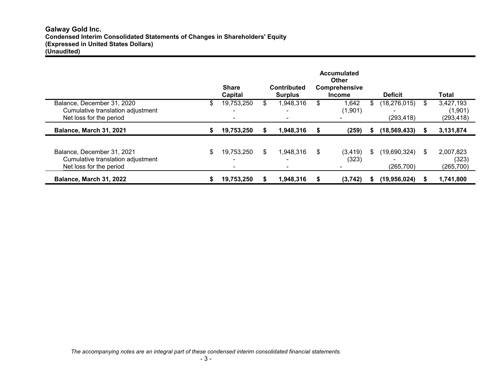|                                                                                            |   | <b>Share</b><br>Capital | <b>Contributed</b><br><b>Surplus</b> |    | <b>Accumulated</b><br><b>Other</b><br>Comprehensive<br><b>Income</b> |    | <b>Deficit</b>               |    | Total                              |
|--------------------------------------------------------------------------------------------|---|-------------------------|--------------------------------------|----|----------------------------------------------------------------------|----|------------------------------|----|------------------------------------|
| Balance, December 31, 2020<br>Cumulative translation adjustment<br>Net loss for the period | S | 19,753,250<br>-         | \$<br>1,948,316<br>۰.                | S  | 1,642<br>(1,901)                                                     |    | (18, 276, 015)<br>(293, 418) | \$ | 3,427,193<br>(1,901)<br>(293, 418) |
| Balance, March 31, 2021                                                                    |   | 19,753,250              | 1.948.316                            | S  | (259)                                                                |    | (18, 569, 433)               |    | 3,131,874                          |
| Balance, December 31, 2021<br>Cumulative translation adjustment<br>Net loss for the period |   | 19,753,250              | \$<br>1,948,316<br>$\blacksquare$    | \$ | (3, 419)<br>(323)                                                    | S. | (19,690,324)<br>(265, 700)   | S  | 2,007,823<br>(323)<br>(265,700)    |
| <b>Balance, March 31, 2022</b>                                                             |   | 19,753,250              | 1,948,316                            |    | (3,742)                                                              |    | (19,956,024)                 | S. | 1,741,800                          |

*The accompanying notes are an integral part of these condensed interim consolidated financial statements.*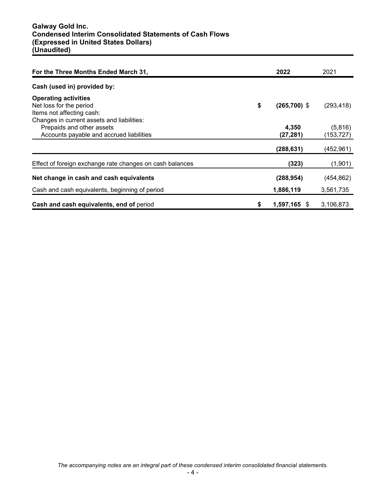| For the Three Months Ended March 31,                                                                                | 2022                 | 2021                  |
|---------------------------------------------------------------------------------------------------------------------|----------------------|-----------------------|
| Cash (used in) provided by:                                                                                         |                      |                       |
| <b>Operating activities</b><br>Net loss for the period<br>Items not affecting cash:                                 | \$<br>$(265,700)$ \$ | (293, 418)            |
| Changes in current assets and liabilities:<br>Prepaids and other assets<br>Accounts payable and accrued liabilities | 4,350<br>(27, 281)   | (5,816)<br>(153, 727) |
|                                                                                                                     | (288, 631)           | (452,961)             |
| Effect of foreign exchange rate changes on cash balances                                                            | (323)                | (1,901)               |
| Net change in cash and cash equivalents                                                                             | (288, 954)           | (454, 862)            |
| Cash and cash equivalents, beginning of period                                                                      | 1,886,119            | 3,561,735             |
| Cash and cash equivalents, end of period                                                                            | \$<br>$1,597,165$ \$ | 3,106,873             |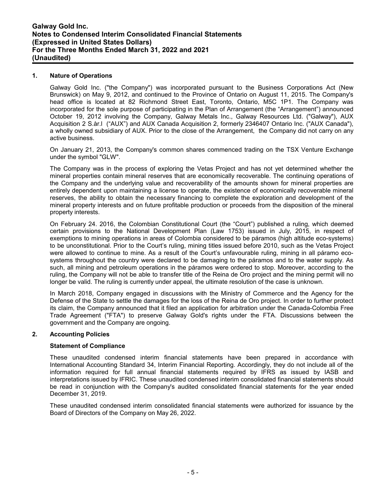### **1. Nature of Operations**

Galway Gold Inc. ("the Company") was incorporated pursuant to the Business Corporations Act (New Brunswick) on May 9, 2012, and continued to the Province of Ontario on August 11, 2015. The Company's head office is located at 82 Richmond Street East, Toronto, Ontario, M5C 1P1. The Company was incorporated for the sole purpose of participating in the Plan of Arrangement (the "Arrangement") announced October 19, 2012 involving the Company, Galway Metals Inc., Galway Resources Ltd. ("Galway"), AUX Acquisition 2 S.àr.l ("AUX") and AUX Canada Acquisition 2, formerly 2346407 Ontario Inc. ("AUX Canada"), a wholly owned subsidiary of AUX. Prior to the close of the Arrangement, the Company did not carry on any active business.

On January 21, 2013, the Company's common shares commenced trading on the TSX Venture Exchange under the symbol "GLW".

The Company was in the process of exploring the Vetas Project and has not yet determined whether the mineral properties contain mineral reserves that are economically recoverable. The continuing operations of the Company and the underlying value and recoverability of the amounts shown for mineral properties are entirely dependent upon maintaining a license to operate, the existence of economically recoverable mineral reserves, the ability to obtain the necessary financing to complete the exploration and development of the mineral property interests and on future profitable production or proceeds from the disposition of the mineral property interests.

On February 24. 2016, the Colombian Constitutional Court (the "Court") published a ruling, which deemed certain provisions to the National Development Plan (Law 1753) issued in July, 2015, in respect of exemptions to mining operations in areas of Colombia considered to be páramos (high altitude eco-systems) to be unconstitutional. Prior to the Court's ruling, mining titles issued before 2010, such as the Vetas Project were allowed to continue to mine. As a result of the Court's unfavourable ruling, mining in all páramo ecosystems throughout the country were declared to be damaging to the páramos and to the water supply. As such, all mining and petroleum operations in the páramos were ordered to stop. Moreover, according to the ruling, the Company will not be able to transfer title of the Reina de Oro project and the mining permit will no longer be valid. The ruling is currently under appeal, the ultimate resolution of the case is unknown.

In March 2018, Company engaged in discussions with the Ministry of Commerce and the Agency for the Defense of the State to settle the damages for the loss of the Reina de Oro project. In order to further protect its claim, the Company announced that it filed an application for arbitration under the Canada-Colombia Free Trade Agreement ("FTA") to preserve Galway Gold's rights under the FTA. Discussions between the government and the Company are ongoing.

### **2. Accounting Policies**

### **Statement of Compliance**

These unaudited condensed interim financial statements have been prepared in accordance with International Accounting Standard 34, Interim Financial Reporting. Accordingly, they do not include all of the information required for full annual financial statements required by IFRS as issued by IASB and interpretations issued by IFRIC. These unaudited condensed interim consolidated financial statements should be read in conjunction with the Company's audited consolidated financial statements for the year ended December 31, 2019.

These unaudited condensed interim consolidated financial statements were authorized for issuance by the Board of Directors of the Company on May 26, 2022.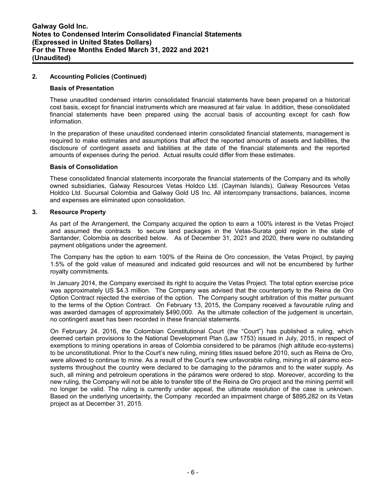## **2. Accounting Policies (Continued)**

#### **Basis of Presentation**

These unaudited condensed interim consolidated financial statements have been prepared on a historical cost basis, except for financial instruments which are measured at fair value. In addition, these consolidated financial statements have been prepared using the accrual basis of accounting except for cash flow information.

In the preparation of these unaudited condensed interim consolidated financial statements, management is required to make estimates and assumptions that affect the reported amounts of assets and liabilities, the disclosure of contingent assets and liabilities at the date of the financial statements and the reported amounts of expenses during the period. Actual results could differ from these estimates.

#### **Basis of Consolidation**

These consolidated financial statements incorporate the financial statements of the Company and its wholly owned subsidiaries, Galway Resources Vetas Holdco Ltd. (Cayman Islands), Galway Resources Vetas Holdco Ltd. Sucursal Colombia and Galway Gold US Inc. All intercompany transactions, balances, income and expenses are eliminated upon consolidation.

#### **3. Resource Property**

As part of the Arrangement, the Company acquired the option to earn a 100% interest in the Vetas Project and assumed the contracts to secure land packages in the Vetas-Surata gold region in the state of Santander, Colombia as described below. As of December 31, 2021 and 2020, there were no outstanding payment obligations under the agreement.

The Company has the option to earn 100% of the Reina de Oro concession, the Vetas Project, by paying 1.5% of the gold value of measured and indicated gold resources and will not be encumbered by further royalty commitments.

In January 2014, the Company exercised its right to acquire the Vetas Project. The total option exercise price was approximately US \$4.3 million. The Company was advised that the counterparty to the Reina de Oro Option Contract rejected the exercise of the option. The Company sought arbitration of this matter pursuant to the terms of the Option Contract. On February 13, 2015, the Company received a favourable ruling and was awarded damages of approximately \$490,000. As the ultimate collection of the judgement is uncertain, no contingent asset has been recorded in these financial statements.

On February 24. 2016, the Colombian Constitutional Court (the "Court") has published a ruling, which deemed certain provisions to the National Development Plan (Law 1753) issued in July, 2015, in respect of exemptions to mining operations in areas of Colombia considered to be páramos (high altitude eco-systems) to be unconstitutional. Prior to the Court's new ruling, mining titles issued before 2010, such as Reina de Oro, were allowed to continue to mine. As a result of the Court's new unfavorable ruling, mining in all páramo ecosystems throughout the country were declared to be damaging to the páramos and to the water supply. As such, all mining and petroleum operations in the páramos were ordered to stop. Moreover, according to the new ruling, the Company will not be able to transfer title of the Reina de Oro project and the mining permit will no longer be valid. The ruling is currently under appeal, the ultimate resolution of the case is unknown. Based on the underlying uncertainty, the Company recorded an impairment charge of \$895,282 on its Vetas project as at December 31, 2015.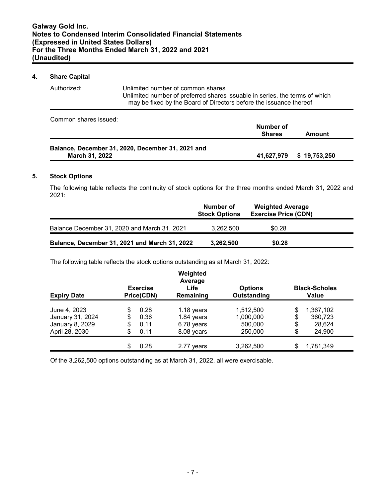# **4. Share Capital**

| Authorized: | Unlimited number of common shares<br>Unlimited number of preferred shares issuable in series, the terms of which<br>may be fixed by the Board of Directors before the issuance thereof |
|-------------|----------------------------------------------------------------------------------------------------------------------------------------------------------------------------------------|
|             |                                                                                                                                                                                        |

Common shares issued:

|                                                   | Number of     |                          |  |
|---------------------------------------------------|---------------|--------------------------|--|
|                                                   | <b>Shares</b> | Amount                   |  |
|                                                   |               |                          |  |
| Balance, December 31, 2020, December 31, 2021 and |               |                          |  |
| March 31, 2022                                    |               | 41,627,979 \$ 19,753,250 |  |

## **5. Stock Options**

The following table reflects the continuity of stock options for the three months ended March 31, 2022 and 2021:

|                                               | Number of<br><b>Stock Options</b> | <b>Weighted Average</b><br><b>Exercise Price (CDN)</b> |  |
|-----------------------------------------------|-----------------------------------|--------------------------------------------------------|--|
| Balance December 31, 2020 and March 31, 2021  | 3.262.500                         | \$0.28                                                 |  |
| Balance, December 31, 2021 and March 31, 2022 | 3,262,500                         | \$0.28                                                 |  |

The following table reflects the stock options outstanding as at March 31, 2022:

| <b>Expiry Date</b> |    | <b>Exercise</b><br>Price(CDN) | Weighted<br>Average<br>Life<br>Remaining | <b>Options</b><br>Outstanding | <b>Black-Scholes</b><br>Value |
|--------------------|----|-------------------------------|------------------------------------------|-------------------------------|-------------------------------|
|                    |    |                               |                                          |                               |                               |
| June 4, 2023       |    | 0.28                          | $1.18$ years                             | 1,512,500                     | \$<br>1,367,102               |
| January 31, 2024   | S  | 0.36                          | 1.84 years                               | 1,000,000                     | \$<br>360,723                 |
| January 8, 2029    | \$ | 0.11                          | 6.78 years                               | 500,000                       | \$<br>28,624                  |
| April 28, 2030     | S  | 0.11                          | 8.08 years                               | 250,000                       | \$<br>24,900                  |
|                    |    |                               |                                          |                               |                               |
|                    |    | 0.28                          | 2.77 years                               | 3,262,500                     | 1,781,349                     |

Of the 3,262,500 options outstanding as at March 31, 2022, all were exercisable.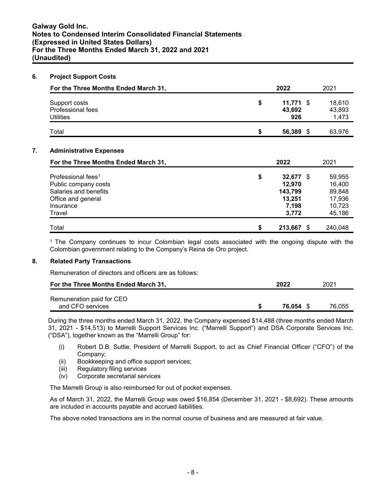## **6. Project Support Costs**

| For the Three Months Ended March 31,                   |    | 2022                         | 2021                      |
|--------------------------------------------------------|----|------------------------------|---------------------------|
| Support costs<br>Professional fees<br><b>Utilities</b> | \$ | $11,771$ \$<br>43,692<br>926 | 18,610<br>43,893<br>1,473 |
| Total                                                  | S  | 56,389 \$                    | 63,976                    |

# **7. Administrative Expenses**

| For the Three Months Ended March 31, |    | 2022         | 2021    |
|--------------------------------------|----|--------------|---------|
| Professional fees <sup>1</sup>       | \$ | $32,677$ \$  | 59,955  |
| Public company costs                 |    | 12.970       | 16,400  |
| Salaries and benefits                |    | 143,799      | 89,848  |
| Office and general                   |    | 13,251       | 17,936  |
| Insurance                            |    | 7,198        | 10,723  |
| Travel                               |    | 3.772        | 45,186  |
| Total                                | S  | 213,667<br>S | 240,048 |

<sup>1</sup>The Company continues to incur Colombian legal costs associated with the ongoing dispute with the Colombian government relating to the Company's Reina de Oro project.

### **8. Related Party Transactions**

Remuneration of directors and officers are as follows:

| For the Three Months Ended March 31,          | 2022             | 2021   |
|-----------------------------------------------|------------------|--------|
| Remuneration paid for CEO<br>and CFO services | <b>76.054 \$</b> | 76.055 |

During the three months ended March 31, 2022, the Company expensed \$14,488 (three months ended March 31, 2021 - \$14,513) to Marrelli Support Services Inc. ("Marrelli Support") and DSA Corporate Services Inc. ("DSA"), together known as the "Marrelli Group" for:

- (i) Robert D.B. Suttie, President of Marrelli Support, to act as Chief Financial Officer ("CFO") of the Company;
- (ii) Bookkeeping and office support services;
- (iii) Regulatory filing services
- (iv) Corporate secretarial services

The Marrelli Group is also reimbursed for out of pocket expenses.

As of March 31, 2022, the Marrelli Group was owed \$16,854 (December 31, 2021 - \$8,692). These amounts are included in accounts payable and accrued liabilities.

The above noted transactions are in the normal course of business and are measured at fair value.